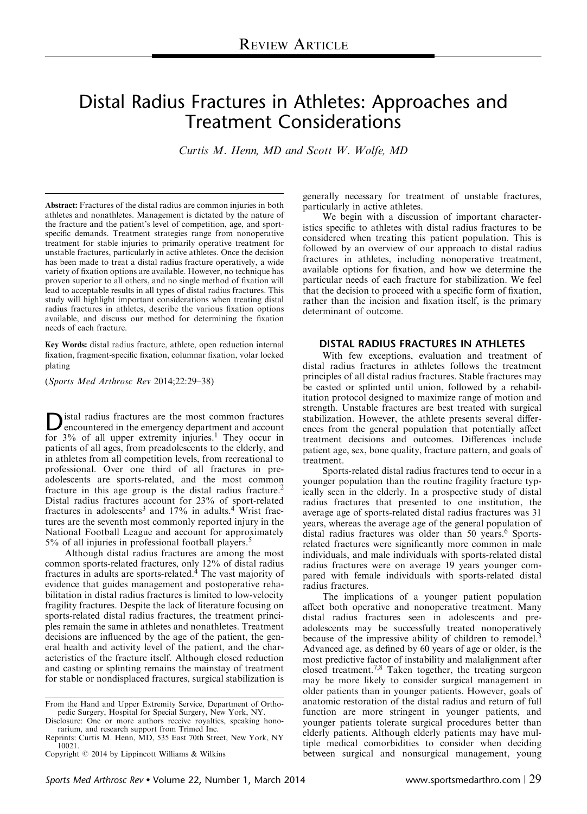# Distal Radius Fractures in Athletes: Approaches and Treatment Considerations

Curtis M. Henn, MD and Scott W. Wolfe, MD

Abstract: Fractures of the distal radius are common injuries in both athletes and nonathletes. Management is dictated by the nature of the fracture and the patient's level of competition, age, and sportspecific demands. Treatment strategies range from nonoperative treatment for stable injuries to primarily operative treatment for unstable fractures, particularly in active athletes. Once the decision has been made to treat a distal radius fracture operatively, a wide variety of fixation options are available. However, no technique has proven superior to all others, and no single method of fixation will lead to acceptable results in all types of distal radius fractures. This study will highlight important considerations when treating distal radius fractures in athletes, describe the various fixation options available, and discuss our method for determining the fixation needs of each fracture.

Key Words: distal radius fracture, athlete, open reduction internal fixation, fragment-specific fixation, columnar fixation, volar locked plating

(Sports Med Arthrosc Rev 2014;22:29–38)

**D** istal radius fractures are the most common fractures<br>encountered in the emergency department and account for 3% of all upper extremity injuries.<sup>[1](#page-7-0)</sup> They occur in patients of all ages, from preadolescents to the elderly, and in athletes from all competition levels, from recreational to professional. Over one third of all fractures in preadolescents are sports-related, and the most common fracture in this age group is the distal radius fracture.<sup>[2](#page-7-0)</sup> Distal radius fractures account for 23% of sport-related fractures in adolescents<sup>[3](#page-7-0)</sup> and  $17\%$  in adults.<sup>[4](#page-8-0)</sup> Wrist fractures are the seventh most commonly reported injury in the National Football League and account for approximately 5% of all injuries in professional football players.[5](#page-8-0)

Although distal radius fractures are among the most common sports-related fractures, only 12% of distal radius fractures in adults are sports-related.<sup>[4](#page-8-0)</sup> The vast majority of evidence that guides management and postoperative rehabilitation in distal radius fractures is limited to low-velocity fragility fractures. Despite the lack of literature focusing on sports-related distal radius fractures, the treatment principles remain the same in athletes and nonathletes. Treatment decisions are influenced by the age of the patient, the general health and activity level of the patient, and the characteristics of the fracture itself. Although closed reduction and casting or splinting remains the mainstay of treatment for stable or nondisplaced fractures, surgical stabilization is

generally necessary for treatment of unstable fractures, particularly in active athletes.

We begin with a discussion of important characteristics specific to athletes with distal radius fractures to be considered when treating this patient population. This is followed by an overview of our approach to distal radius fractures in athletes, including nonoperative treatment, available options for fixation, and how we determine the particular needs of each fracture for stabilization. We feel that the decision to proceed with a specific form of fixation, rather than the incision and fixation itself, is the primary determinant of outcome.

# DISTAL RADIUS FRACTURES IN ATHLETES

With few exceptions, evaluation and treatment of distal radius fractures in athletes follows the treatment principles of all distal radius fractures. Stable fractures may be casted or splinted until union, followed by a rehabilitation protocol designed to maximize range of motion and strength. Unstable fractures are best treated with surgical stabilization. However, the athlete presents several differences from the general population that potentially affect treatment decisions and outcomes. Differences include patient age, sex, bone quality, fracture pattern, and goals of treatment.

Sports-related distal radius fractures tend to occur in a younger population than the routine fragility fracture typically seen in the elderly. In a prospective study of distal radius fractures that presented to one institution, the average age of sports-related distal radius fractures was 31 years, whereas the average age of the general population of distal radius fractures was older than 50 years.<sup>[6](#page-8-0)</sup> Sportsrelated fractures were significantly more common in male individuals, and male individuals with sports-related distal radius fractures were on average 19 years younger compared with female individuals with sports-related distal radius fractures.

The implications of a younger patient population affect both operative and nonoperative treatment. Many distal radius fractures seen in adolescents and preadolescents may be successfully treated nonoperatively because of the impressive ability of children to remodel.<sup>[3](#page-7-0)</sup> Advanced age, as defined by 60 years of age or older, is the most predictive factor of instability and malalignment after closed treatment.<sup>7,8</sup> Taken together, the treating surgeon may be more likely to consider surgical management in older patients than in younger patients. However, goals of anatomic restoration of the distal radius and return of full function are more stringent in younger patients, and younger patients tolerate surgical procedures better than elderly patients. Although elderly patients may have multiple medical comorbidities to consider when deciding between surgical and nonsurgical management, young

From the Hand and Upper Extremity Service, Department of Orthopedic Surgery, Hospital for Special Surgery, New York, NY.

Disclosure: One or more authors receive royalties, speaking honorarium, and research support from Trimed Inc.

Reprints: Curtis M. Henn, MD, 535 East 70th Street, New York, NY 10021.

Copyright  $\odot$  2014 by Lippincott Williams & Wilkins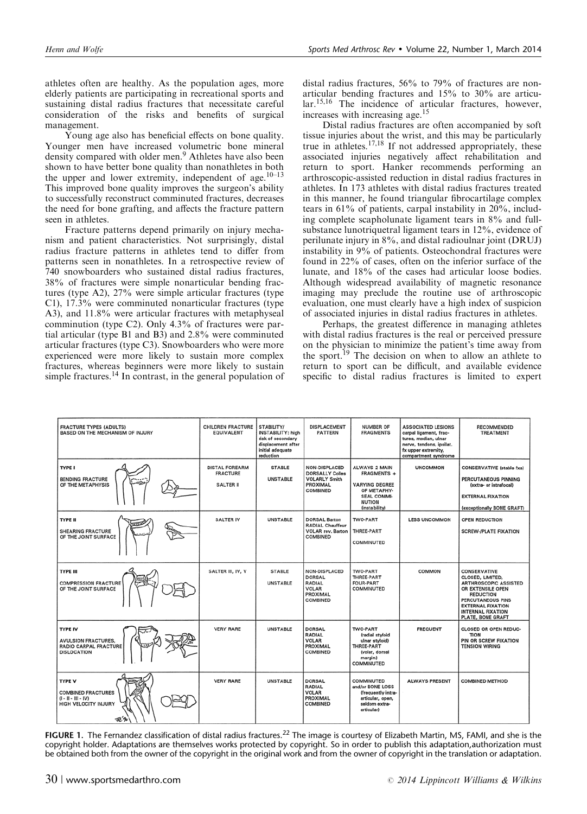<span id="page-1-0"></span>athletes often are healthy. As the population ages, more elderly patients are participating in recreational sports and sustaining distal radius fractures that necessitate careful consideration of the risks and benefits of surgical management.

Young age also has beneficial effects on bone quality. Younger men have increased volumetric bone mineral density compared with older men.<sup>[9](#page-8-0)</sup> Athletes have also been shown to have better bone quality than nonathletes in both the upper and lower extremity, independent of age. $10-13$ This improved bone quality improves the surgeon's ability to successfully reconstruct comminuted fractures, decreases the need for bone grafting, and affects the fracture pattern seen in athletes.

Fracture patterns depend primarily on injury mechanism and patient characteristics. Not surprisingly, distal radius fracture patterns in athletes tend to differ from patterns seen in nonathletes. In a retrospective review of 740 snowboarders who sustained distal radius fractures, 38% of fractures were simple nonarticular bending fractures (type A2), 27% were simple articular fractures (type C1), 17.3% were comminuted nonarticular fractures (type A3), and 11.8% were articular fractures with metaphyseal comminution (type C2). Only 4.3% of fractures were partial articular (type B1 and B3) and 2.8% were comminuted articular fractures (type C3). Snowboarders who were more experienced were more likely to sustain more complex fractures, whereas beginners were more likely to sustain simple fractures.<sup>14</sup> In contrast, in the general population of

distal radius fractures, 56% to 79% of fractures are nonarticular bending fractures and 15% to 30% are articular.[15,16](#page-8-0) The incidence of articular fractures, however, increases with increasing age.[15](#page-8-0)

Distal radius fractures are often accompanied by soft tissue injuries about the wrist, and this may be particularly true in athletes.<sup>[17,18](#page-8-0)</sup> If not addressed appropriately, these associated injuries negatively affect rehabilitation and return to sport. Hanker recommends performing an arthroscopic-assisted reduction in distal radius fractures in athletes. In 173 athletes with distal radius fractures treated in this manner, he found triangular fibrocartilage complex tears in 61% of patients, carpal instability in 20%, including complete scapholunate ligament tears in 8% and fullsubstance lunotriquetral ligament tears in 12%, evidence of perilunate injury in 8%, and distal radioulnar joint (DRUJ) instability in 9% of patients. Osteochondral fractures were found in 22% of cases, often on the inferior surface of the lunate, and 18% of the cases had articular loose bodies. Although widespread availability of magnetic resonance imaging may preclude the routine use of arthroscopic evaluation, one must clearly have a high index of suspicion of associated injuries in distal radius fractures in athletes.

Perhaps, the greatest difference in managing athletes with distal radius fractures is the real or perceived pressure on the physician to minimize the patient's time away from the sport.<sup>[19](#page-8-0)</sup> The decision on when to allow an athlete to return to sport can be difficult, and available evidence specific to distal radius fractures is limited to expert

| <b>FRACTURE TYPES (ADULTS)</b><br>BASED ON THE MECHANISM OF INJURY                                     | <b>CHILDREN FRACTURE</b><br><b>EQUIVALENT</b>                | STABILITY/<br><b>INSTABILITY: high</b><br>risk of secondary<br>displacement after<br>initial adequate<br>reduction | <b>DISPLACEMENT</b><br><b>PATTERN</b>                                                          | <b>NUMBER OF</b><br><b>FRAGMENTS</b>                                                                                                | <b>ASSOCIATED LESIONS</b><br>carpal ligament, frac-<br>tures, median, ulnar<br>nerve, tendons, ipsilat.<br>fx upper extremity,<br>compartment syndrome | <b>RECOMMENDED</b><br><b>TREATMENT</b>                                                                                                                                                                             |
|--------------------------------------------------------------------------------------------------------|--------------------------------------------------------------|--------------------------------------------------------------------------------------------------------------------|------------------------------------------------------------------------------------------------|-------------------------------------------------------------------------------------------------------------------------------------|--------------------------------------------------------------------------------------------------------------------------------------------------------|--------------------------------------------------------------------------------------------------------------------------------------------------------------------------------------------------------------------|
| <b>TYPE I</b><br><b>BENDING FRACTURE</b><br>OF THE METAPHYSIS                                          | <b>DISTAL FOREARM</b><br><b>FRACTURE</b><br><b>SALTER II</b> | <b>STABLE</b><br><b>UNSTABLE</b>                                                                                   | <b>NON-DISPLACED</b><br><b>DORSALLY Colles</b><br><b>VOLARLY Smith</b><br>PROXIMAL<br>COMBINED | <b>ALWAYS 2 MAIN</b><br>FRAGMENTS +<br><b>VARYING DEGREE</b><br>OF METAPHY-<br><b>SEAL COMMI-</b><br><b>NUTION</b><br>(instability) | <b>UNCOMMON</b>                                                                                                                                        | <b>CONSERVATIVE (stable fxs)</b><br>PERCUTANEOUS PINNING<br>(extra- or intrafocal)<br><b>EXTERNAL FIXATION</b><br>(exceptionally BONE GRAFT)                                                                       |
| <b>TYPE II</b><br><b>SHEARING FRACTURE</b><br>OF THE JOINT SURFACE                                     | <b>SALTER IV</b>                                             | <b>UNSTABLE</b>                                                                                                    | <b>DORSAL Barton</b><br><b>RADIAL Chauffeur</b><br><b>VOLAR rev. Barton</b><br>COMBINED        | <b>TWO-PART</b><br><b>THREE-PART</b><br>COMMINUTED                                                                                  | <b>LESS UNCOMMON</b>                                                                                                                                   | OPEN REDUCTION<br><b>SCREW-/PLATE FIXATION</b>                                                                                                                                                                     |
| <b>TYPE III</b><br><b>COMPRESSION FRACTURE</b><br>OF THE JOINT SURFACE                                 | SALTER III, IV, V                                            | <b>STABLE</b><br><b>UNSTABLE</b>                                                                                   | <b>NON-DISPLACED</b><br><b>DORSAL</b><br><b>RADIAL</b><br>VOLAR<br>PROXIMAL<br>COMBINED        | <b>TWO-PART</b><br>THREE-PART<br><b>FOUR-PART</b><br>COMMINUTED                                                                     | COMMON                                                                                                                                                 | <b>CONSERVATIVE</b><br>CLOSED, LIMITED,<br><b>ARTHROSCOPIC ASSISTED</b><br>OR EXTENSILE OPEN<br><b>REDUCTION</b><br>PERCUTANEOUS PINS<br><b>EXTERNAL FIXATION</b><br><b>INTERNAL FIXATION</b><br>PLATE, BONE GRAFT |
| <b>TYPE IV</b><br><b>AVULSION FRACTURES.</b><br><b>RADIO CARPAL FRACTURE</b><br><b>DISLOCATION</b>     | <b>VERY RARE</b>                                             | <b>UNSTABLE</b>                                                                                                    | <b>DORSAL</b><br><b>RADIAL</b><br><b>VOLAR</b><br>PROXIMAL<br>COMBINED                         | <b>TWO-PART</b><br>(radial styloid<br>ulnar styloid)<br><b>THREE-PART</b><br>(volar, dorsal<br>margin)<br>COMMINUTED                | <b>FREQUENT</b>                                                                                                                                        | <b>CLOSED OR OPEN REDUC-</b><br><b>TION</b><br>PIN OR SCREW FIXATION<br><b>TENSION WIRING</b>                                                                                                                      |
| <b>TYPE V</b><br><b>COMBINED FRACTURES</b><br>$(1 - 11 - 11 - 1)$<br>HIGH VELOCITY INJURY<br><b>花多</b> | <b>VERY RARE</b>                                             | <b>UNSTABLE</b>                                                                                                    | <b>DORSAL</b><br><b>RADIAL</b><br><b>VOLAR</b><br>PROXIMAL<br>COMBINED                         | COMMINUTED<br>and/or BONE LOSS<br>(frequently intra-<br>articular, open,<br>seldom extra-<br>articular)                             | <b>ALWAYS PRESENT</b>                                                                                                                                  | <b>COMBINED METHOD</b>                                                                                                                                                                                             |

**FIGURE 1.** The Fernandez classification of distal radius fractures.<sup>[22](#page-8-0)</sup> The image is courtesy of Elizabeth Martin, MS, FAMI, and she is the copyright holder. Adaptations are themselves works protected by copyright. So in order to publish this adaptation,authorization must be obtained both from the owner of the copyright in the original work and from the owner of copyright in the translation or adaptation.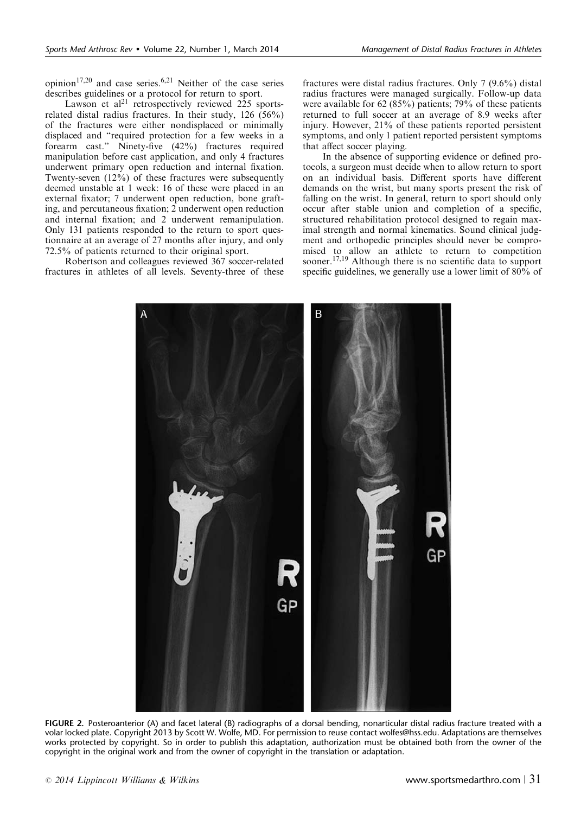<span id="page-2-0"></span>opinion<sup>[17,20](#page-8-0)</sup> and case series.<sup>[6,21](#page-8-0)</sup> Neither of the case series describes guidelines or a protocol for return to sport.

Lawson et al<sup>21</sup> retrospectively reviewed 225 sportsrelated distal radius fractures. In their study, 126 (56%) of the fractures were either nondisplaced or minimally displaced and "required protection for a few weeks in a forearm cast." Ninety-five (42%) fractures required manipulation before cast application, and only 4 fractures underwent primary open reduction and internal fixation. Twenty-seven (12%) of these fractures were subsequently deemed unstable at 1 week: 16 of these were placed in an external fixator; 7 underwent open reduction, bone grafting, and percutaneous fixation; 2 underwent open reduction and internal fixation; and 2 underwent remanipulation. Only 131 patients responded to the return to sport questionnaire at an average of 27 months after injury, and only 72.5% of patients returned to their original sport.

Robertson and colleagues reviewed 367 soccer-related fractures in athletes of all levels. Seventy-three of these fractures were distal radius fractures. Only 7 (9.6%) distal radius fractures were managed surgically. Follow-up data were available for 62 (85%) patients; 79% of these patients returned to full soccer at an average of 8.9 weeks after injury. However, 21% of these patients reported persistent symptoms, and only 1 patient reported persistent symptoms that affect soccer playing.

In the absence of supporting evidence or defined protocols, a surgeon must decide when to allow return to sport on an individual basis. Different sports have different demands on the wrist, but many sports present the risk of falling on the wrist. In general, return to sport should only occur after stable union and completion of a specific, structured rehabilitation protocol designed to regain maximal strength and normal kinematics. Sound clinical judgment and orthopedic principles should never be compromised to allow an athlete to return to competition sooner.<sup>[17,19](#page-8-0)</sup> Although there is no scientific data to support specific guidelines, we generally use a lower limit of 80% of



FIGURE 2. Posteroanterior (A) and facet lateral (B) radiographs of a dorsal bending, nonarticular distal radius fracture treated with a volar locked plate. Copyright 2013 by Scott W. Wolfe, MD. For permission to reuse contact wolfes@hss.edu. Adaptations are themselves works protected by copyright. So in order to publish this adaptation, authorization must be obtained both from the owner of the copyright in the original work and from the owner of copyright in the translation or adaptation.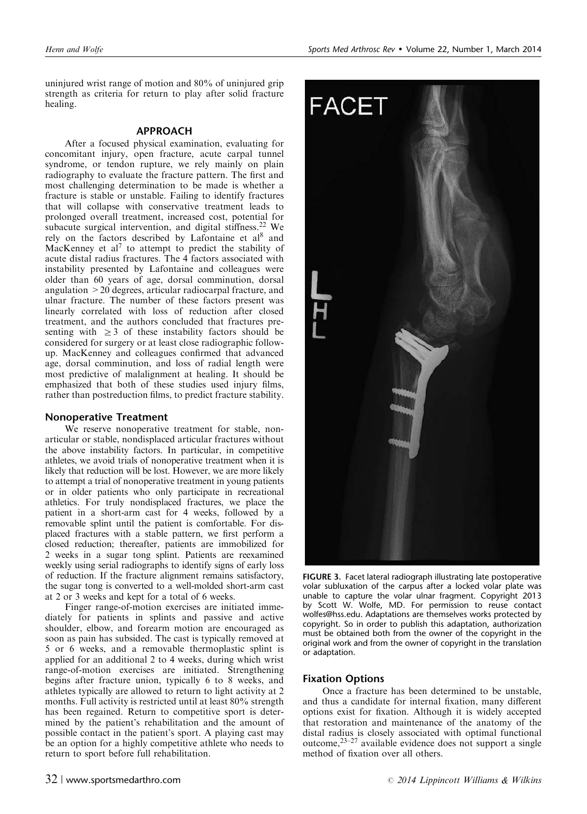<span id="page-3-0"></span>uninjured wrist range of motion and 80% of uninjured grip strength as criteria for return to play after solid fracture healing.

## APPROACH

After a focused physical examination, evaluating for concomitant injury, open fracture, acute carpal tunnel syndrome, or tendon rupture, we rely mainly on plain radiography to evaluate the fracture pattern. The first and most challenging determination to be made is whether a fracture is stable or unstable. Failing to identify fractures that will collapse with conservative treatment leads to prolonged overall treatment, increased cost, potential for subacute surgical intervention, and digital stiffness.<sup>[22](#page-8-0)</sup> We rely on the factors described by Lafontaine et al<sup>[8](#page-8-0)</sup> and MacKenney et al<sup>[7](#page-8-0)</sup> to attempt to predict the stability of acute distal radius fractures. The 4 factors associated with instability presented by Lafontaine and colleagues were older than 60 years of age, dorsal comminution, dorsal angulation >20 degrees, articular radiocarpal fracture, and ulnar fracture. The number of these factors present was linearly correlated with loss of reduction after closed treatment, and the authors concluded that fractures presenting with  $\geq 3$  of these instability factors should be considered for surgery or at least close radiographic followup. MacKenney and colleagues confirmed that advanced age, dorsal comminution, and loss of radial length were most predictive of malalignment at healing. It should be emphasized that both of these studies used injury films, rather than postreduction films, to predict fracture stability.

## Nonoperative Treatment

We reserve nonoperative treatment for stable, nonarticular or stable, nondisplaced articular fractures without the above instability factors. In particular, in competitive athletes, we avoid trials of nonoperative treatment when it is likely that reduction will be lost. However, we are more likely to attempt a trial of nonoperative treatment in young patients or in older patients who only participate in recreational athletics. For truly nondisplaced fractures, we place the patient in a short-arm cast for 4 weeks, followed by a removable splint until the patient is comfortable. For displaced fractures with a stable pattern, we first perform a closed reduction; thereafter, patients are immobilized for 2 weeks in a sugar tong splint. Patients are reexamined weekly using serial radiographs to identify signs of early loss of reduction. If the fracture alignment remains satisfactory, the sugar tong is converted to a well-molded short-arm cast at 2 or 3 weeks and kept for a total of 6 weeks.

Finger range-of-motion exercises are initiated immediately for patients in splints and passive and active shoulder, elbow, and forearm motion are encouraged as soon as pain has subsided. The cast is typically removed at 5 or 6 weeks, and a removable thermoplastic splint is applied for an additional 2 to 4 weeks, during which wrist range-of-motion exercises are initiated. Strengthening begins after fracture union, typically 6 to 8 weeks, and athletes typically are allowed to return to light activity at 2 months. Full activity is restricted until at least 80% strength has been regained. Return to competitive sport is determined by the patient's rehabilitation and the amount of possible contact in the patient's sport. A playing cast may be an option for a highly competitive athlete who needs to return to sport before full rehabilitation.



FIGURE 3. Facet lateral radiograph illustrating late postoperative volar subluxation of the carpus after a locked volar plate was unable to capture the volar ulnar fragment. Copyright 2013 by Scott W. Wolfe, MD. For permission to reuse contact wolfes@hss.edu. Adaptations are themselves works protected by copyright. So in order to publish this adaptation, authorization must be obtained both from the owner of the copyright in the original work and from the owner of copyright in the translation or adaptation.

## Fixation Options

Once a fracture has been determined to be unstable, and thus a candidate for internal fixation, many different options exist for fixation. Although it is widely accepted that restoration and maintenance of the anatomy of the distal radius is closely associated with optimal functional outcome,[23–27](#page-8-0) available evidence does not support a single method of fixation over all others.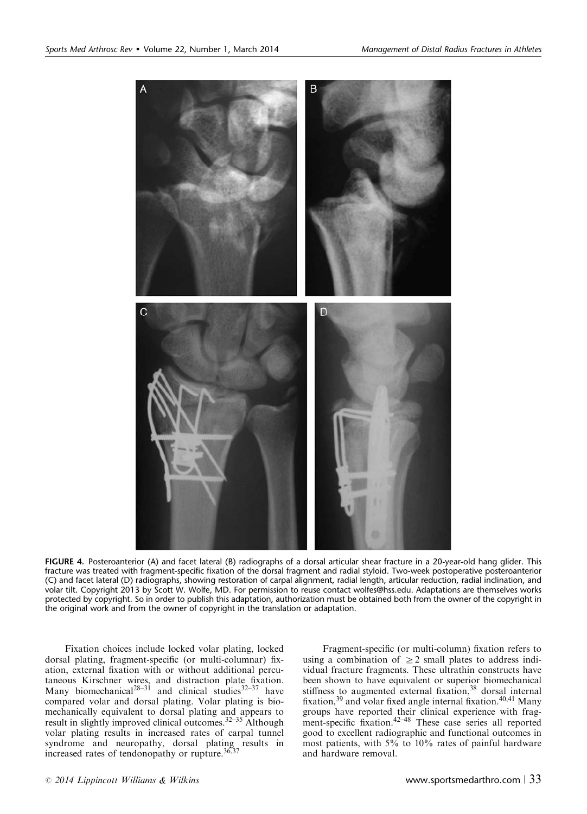<span id="page-4-0"></span>

FIGURE 4. Posteroanterior (A) and facet lateral (B) radiographs of a dorsal articular shear fracture in a 20-year-old hang glider. This fracture was treated with fragment-specific fixation of the dorsal fragment and radial styloid. Two-week postoperative posteroanterior (C) and facet lateral (D) radiographs, showing restoration of carpal alignment, radial length, articular reduction, radial inclination, and volar tilt. Copyright 2013 by Scott W. Wolfe, MD. For permission to reuse contact wolfes@hss.edu. Adaptations are themselves works protected by copyright. So in order to publish this adaptation, authorization must be obtained both from the owner of the copyright in the original work and from the owner of copyright in the translation or adaptation.

Fixation choices include locked volar plating, locked dorsal plating, fragment-specific (or multi-columnar) fixation, external fixation with or without additional percutaneous Kirschner wires, and distraction plate fixation. Many biomechanical<sup>[28–31](#page-8-0)</sup> and clinical studies<sup>[32–37](#page-8-0)</sup> have compared volar and dorsal plating. Volar plating is biomechanically equivalent to dorsal plating and appears to result in slightly improved clinical outcomes.[32–35](#page-8-0) Although volar plating results in increased rates of carpal tunnel syndrome and neuropathy, dorsal plating results in increased rates of tendonopathy or rupture. $36,37$ 

Fragment-specific (or multi-column) fixation refers to using a combination of  $\geq$  2 small plates to address individual fracture fragments. These ultrathin constructs have been shown to have equivalent or superior biomechanical stiffness to augmented external fixation,<sup>[38](#page-8-0)</sup> dorsal internal fixation,  $39$  and volar fixed angle internal fixation.  $40,41$  Many groups have reported their clinical experience with frag-ment-specific fixation.<sup>[42–48](#page-8-0)</sup> These case series all reported good to excellent radiographic and functional outcomes in most patients, with 5% to 10% rates of painful hardware and hardware removal.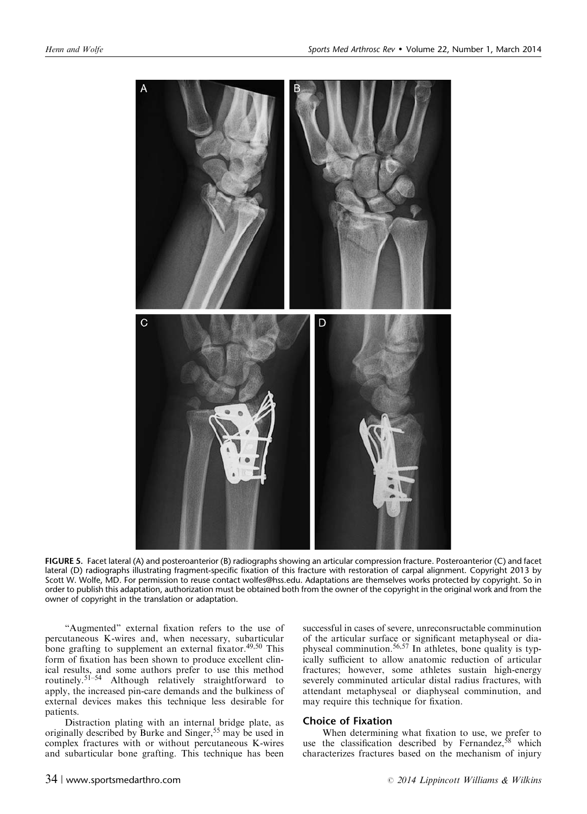<span id="page-5-0"></span>

FIGURE 5. Facet lateral (A) and posteroanterior (B) radiographs showing an articular compression fracture. Posteroanterior (C) and facet lateral (D) radiographs illustrating fragment-specific fixation of this fracture with restoration of carpal alignment. Copyright 2013 by Scott W. Wolfe, MD. For permission to reuse contact wolfes@hss.edu. Adaptations are themselves works protected by copyright. So in order to publish this adaptation, authorization must be obtained both from the owner of the copyright in the original work and from the owner of copyright in the translation or adaptation.

"Augmented" external fixation refers to the use of percutaneous K-wires and, when necessary, subarticular bone grafting to supplement an external fixator.<sup>[49,50](#page-9-0)</sup> This form of fixation has been shown to produce excellent clinical results, and some authors prefer to use this method routinely.<sup>[51–54](#page-9-0)</sup> Although relatively straightforward to apply, the increased pin-care demands and the bulkiness of external devices makes this technique less desirable for patients.

Distraction plating with an internal bridge plate, as originally described by Burke and Singer,<sup>[55](#page-9-0)</sup> may be used in complex fractures with or without percutaneous K-wires and subarticular bone grafting. This technique has been

successful in cases of severe, unreconsructable comminution of the articular surface or significant metaphyseal or diaphyseal comminution.[56,57](#page-9-0) In athletes, bone quality is typically sufficient to allow anatomic reduction of articular fractures; however, some athletes sustain high-energy severely comminuted articular distal radius fractures, with attendant metaphyseal or diaphyseal comminution, and may require this technique for fixation.

#### Choice of Fixation

When determining what fixation to use, we prefer to use the classification described by Fernandez,  $58$  which characterizes fractures based on the mechanism of injury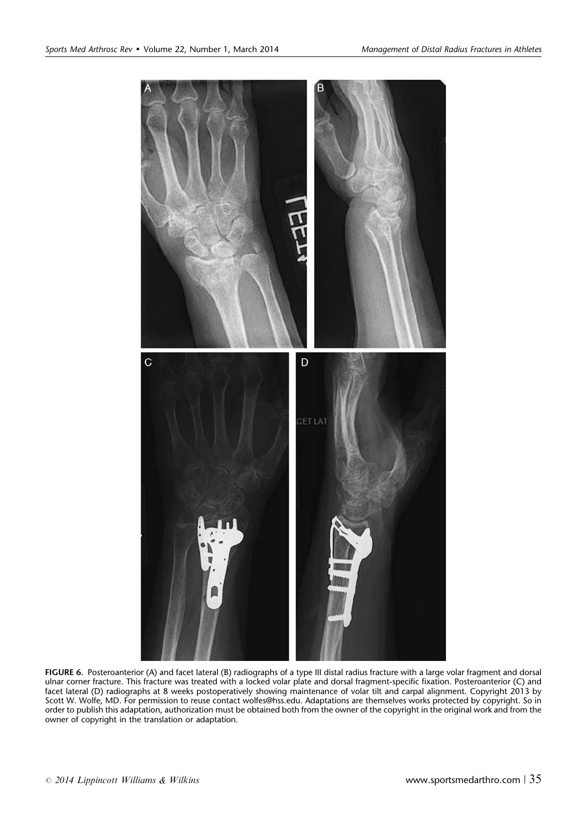<span id="page-6-0"></span>

FIGURE 6. Posteroanterior (A) and facet lateral (B) radiographs of a type III distal radius fracture with a large volar fragment and dorsal ulnar corner fracture. This fracture was treated with a locked volar plate and dorsal fragment-specific fixation. Posteroanterior (C) and facet lateral (D) radiographs at 8 weeks postoperatively showing maintenance of volar tilt and carpal alignment. Copyright 2013 by Scott W. Wolfe, MD. For permission to reuse contact wolfes@hss.edu. Adaptations are themselves works protected by copyright. So in order to publish this adaptation, authorization must be obtained both from the owner of the copyright in the original work and from the owner of copyright in the translation or adaptation.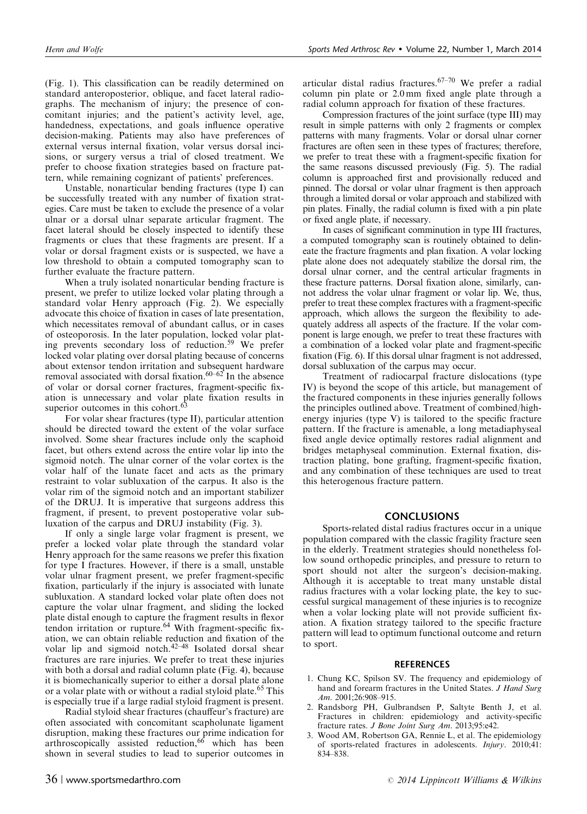<span id="page-7-0"></span>([Fig. 1\)](#page-1-0). This classification can be readily determined on standard anteroposterior, oblique, and facet lateral radiographs. The mechanism of injury; the presence of concomitant injuries; and the patient's activity level, age, handedness, expectations, and goals influence operative decision-making. Patients may also have preferences of external versus internal fixation, volar versus dorsal incisions, or surgery versus a trial of closed treatment. We prefer to choose fixation strategies based on fracture pattern, while remaining cognizant of patients' preferences.

Unstable, nonarticular bending fractures (type I) can be successfully treated with any number of fixation strategies. Care must be taken to exclude the presence of a volar ulnar or a dorsal ulnar separate articular fragment. The facet lateral should be closely inspected to identify these fragments or clues that these fragments are present. If a volar or dorsal fragment exists or is suspected, we have a low threshold to obtain a computed tomography scan to further evaluate the fracture pattern.

When a truly isolated nonarticular bending fracture is present, we prefer to utilize locked volar plating through a standard volar Henry approach [\(Fig. 2](#page-2-0)). We especially advocate this choice of fixation in cases of late presentation, which necessitates removal of abundant callus, or in cases of osteoporosis. In the later population, locked volar plating prevents secondary loss of reduction[.59](#page-9-0) We prefer locked volar plating over dorsal plating because of concerns about extensor tendon irritation and subsequent hardware removal associated with dorsal fixation. $60-62$  In the absence of volar or dorsal corner fractures, fragment-specific fixation is unnecessary and volar plate fixation results in superior outcomes in this cohort.<sup>6</sup>

For volar shear fractures (type II), particular attention should be directed toward the extent of the volar surface involved. Some shear fractures include only the scaphoid facet, but others extend across the entire volar lip into the sigmoid notch. The ulnar corner of the volar cortex is the volar half of the lunate facet and acts as the primary restraint to volar subluxation of the carpus. It also is the volar rim of the sigmoid notch and an important stabilizer of the DRUJ. It is imperative that surgeons address this fragment, if present, to prevent postoperative volar subluxation of the carpus and DRUJ instability [\(Fig. 3](#page-3-0)).

If only a single large volar fragment is present, we prefer a locked volar plate through the standard volar Henry approach for the same reasons we prefer this fixation for type I fractures. However, if there is a small, unstable volar ulnar fragment present, we prefer fragment-specific fixation, particularly if the injury is associated with lunate subluxation. A standard locked volar plate often does not capture the volar ulnar fragment, and sliding the locked plate distal enough to capture the fragment results in flexor tendon irritation or rupture.<sup>[64](#page-9-0)</sup> With fragment-specific fixation, we can obtain reliable reduction and fixation of the volar lip and sigmoid notch. $42-48$  Isolated dorsal shear fractures are rare injuries. We prefer to treat these injuries with both a dorsal and radial column plate ([Fig. 4\)](#page-4-0), because it is biomechanically superior to either a dorsal plate alone or a volar plate with or without a radial styloid plate.<sup>[65](#page-9-0)</sup> This is especially true if a large radial styloid fragment is present.

Radial styloid shear fractures (chauffeur's fracture) are often associated with concomitant scapholunate ligament disruption, making these fractures our prime indication for arthroscopically assisted reduction,<sup>[66](#page-9-0)</sup> which has been shown in several studies to lead to superior outcomes in

articular distal radius fractures.  $67-70$  We prefer a radial column pin plate or 2.0 mm fixed angle plate through a radial column approach for fixation of these fractures.

Compression fractures of the joint surface (type III) may result in simple patterns with only 2 fragments or complex patterns with many fragments. Volar or dorsal ulnar corner fractures are often seen in these types of fractures; therefore, we prefer to treat these with a fragment-specific fixation for the same reasons discussed previously [\(Fig. 5](#page-5-0)). The radial column is approached first and provisionally reduced and pinned. The dorsal or volar ulnar fragment is then approach through a limited dorsal or volar approach and stabilized with pin plates. Finally, the radial column is fixed with a pin plate or fixed angle plate, if necessary.

In cases of significant comminution in type III fractures, a computed tomography scan is routinely obtained to delineate the fracture fragments and plan fixation. A volar locking plate alone does not adequately stabilize the dorsal rim, the dorsal ulnar corner, and the central articular fragments in these fracture patterns. Dorsal fixation alone, similarly, cannot address the volar ulnar fragment or volar lip. We, thus, prefer to treat these complex fractures with a fragment-specific approach, which allows the surgeon the flexibility to adequately address all aspects of the fracture. If the volar component is large enough, we prefer to treat these fractures with a combination of a locked volar plate and fragment-specific fixation [\(Fig. 6\)](#page-6-0). If this dorsal ulnar fragment is not addressed, dorsal subluxation of the carpus may occur.

Treatment of radiocarpal fracture dislocations (type IV) is beyond the scope of this article, but management of the fractured components in these injuries generally follows the principles outlined above. Treatment of combined/highenergy injuries (type V) is tailored to the specific fracture pattern. If the fracture is amenable, a long metadiaphyseal fixed angle device optimally restores radial alignment and bridges metaphyseal comminution. External fixation, distraction plating, bone grafting, fragment-specific fixation, and any combination of these techniques are used to treat this heterogenous fracture pattern.

#### **CONCLUSIONS**

Sports-related distal radius fractures occur in a unique population compared with the classic fragility fracture seen in the elderly. Treatment strategies should nonetheless follow sound orthopedic principles, and pressure to return to sport should not alter the surgeon's decision-making. Although it is acceptable to treat many unstable distal radius fractures with a volar locking plate, the key to successful surgical management of these injuries is to recognize when a volar locking plate will not provide sufficient fixation. A fixation strategy tailored to the specific fracture pattern will lead to optimum functional outcome and return to sport.

#### **REFERENCES**

- 1. Chung KC, Spilson SV. The frequency and epidemiology of hand and forearm fractures in the United States. J Hand Surg Am. 2001;26:908–915.
- 2. Randsborg PH, Gulbrandsen P, Saltyte Benth J, et al. Fractures in children: epidemiology and activity-specific fracture rates. J Bone Joint Surg Am. 2013;95:e42.
- 3. Wood AM, Robertson GA, Rennie L, et al. The epidemiology of sports-related fractures in adolescents. Injury. 2010;41: 834–838.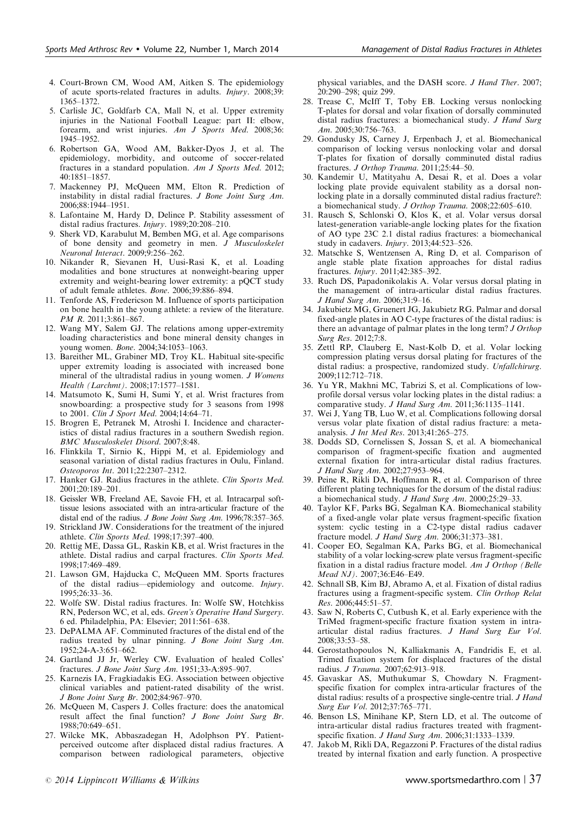- <span id="page-8-0"></span>4. Court-Brown CM, Wood AM, Aitken S. The epidemiology of acute sports-related fractures in adults. Injury. 2008;39: 1365–1372.
- 5. Carlisle JC, Goldfarb CA, Mall N, et al. Upper extremity injuries in the National Football League: part II: elbow, forearm, and wrist injuries. Am J Sports Med. 2008;36: 1945–1952.
- 6. Robertson GA, Wood AM, Bakker-Dyos J, et al. The epidemiology, morbidity, and outcome of soccer-related fractures in a standard population. Am J Sports Med. 2012; 40:1851–1857.
- 7. Mackenney PJ, McQueen MM, Elton R. Prediction of instability in distal radial fractures. J Bone Joint Surg Am. 2006;88:1944–1951.
- 8. Lafontaine M, Hardy D, Delince P. Stability assessment of distal radius fractures. Injury. 1989;20:208–210.
- Sherk VD, Karabulut M, Bemben MG, et al. Age comparisons of bone density and geometry in men. J Musculoskelet Neuronal Interact. 2009;9:256–262.
- 10. Nikander R, Sievanen H, Uusi-Rasi K, et al. Loading modalities and bone structures at nonweight-bearing upper extremity and weight-bearing lower extremity: a pQCT study of adult female athletes. Bone. 2006;39:886–894.
- 11. Tenforde AS, Fredericson M. Influence of sports participation on bone health in the young athlete: a review of the literature. PM R. 2011;3:861-867.
- 12. Wang MY, Salem GJ. The relations among upper-extremity loading characteristics and bone mineral density changes in young women. Bone. 2004;34:1053–1063.
- 13. Bareither ML, Grabiner MD, Troy KL. Habitual site-specific upper extremity loading is associated with increased bone mineral of the ultradistal radius in young women. *J Womens* Health (Larchmt). 2008;17:1577–1581.
- 14. Matsumoto K, Sumi H, Sumi Y, et al. Wrist fractures from snowboarding: a prospective study for 3 seasons from 1998 to 2001. Clin J Sport Med. 2004;14:64–71.
- 15. Brogren E, Petranek M, Atroshi I. Incidence and characteristics of distal radius fractures in a southern Swedish region. BMC Musculoskelet Disord. 2007;8:48.
- 16. Flinkkila T, Sirnio K, Hippi M, et al. Epidemiology and seasonal variation of distal radius fractures in Oulu, Finland. Osteoporos Int. 2011;22:2307–2312.
- 17. Hanker GJ. Radius fractures in the athlete. Clin Sports Med. 2001;20:189–201.
- 18. Geissler WB, Freeland AE, Savoie FH, et al. Intracarpal softtissue lesions associated with an intra-articular fracture of the distal end of the radius. J Bone Joint Surg Am. 1996;78:357–365.
- 19. Strickland JW. Considerations for the treatment of the injured athlete. Clin Sports Med. 1998;17:397-400.
- 20. Rettig ME, Dassa GL, Raskin KB, et al. Wrist fractures in the athlete. Distal radius and carpal fractures. Clin Sports Med. 1998;17:469–489.
- 21. Lawson GM, Hajducka C, McQueen MM. Sports fractures of the distal radius—epidemiology and outcome. Injury. 1995;26:33–36.
- 22. Wolfe SW. Distal radius fractures. In: Wolfe SW, Hotchkiss RN, Pederson WC, et al, eds. Green's Operative Hand Surgery. 6 ed. Philadelphia, PA: Elsevier; 2011:561–638.
- 23. DePALMA AF. Comminuted fractures of the distal end of the radius treated by ulnar pinning. J Bone Joint Surg Am. 1952;24-A-3:651–662.
- 24. Gartland JJ Jr, Werley CW. Evaluation of healed Colles' fractures. J Bone Joint Surg Am. 1951;33-A:895–907.
- 25. Karnezis IA, Fragkiadakis EG. Association between objective clinical variables and patient-rated disability of the wrist. J Bone Joint Surg Br. 2002;84:967–970.
- 26. McQueen M, Caspers J. Colles fracture: does the anatomical result affect the final function? J Bone Joint Surg Br. 1988;70:649–651.
- 27. Wilcke MK, Abbaszadegan H, Adolphson PY. Patientperceived outcome after displaced distal radius fractures. A comparison between radiological parameters, objective

physical variables, and the DASH score. J Hand Ther. 2007; 20:290–298; quiz 299.

- 28. Trease C, McIff T, Toby EB. Locking versus nonlocking T-plates for dorsal and volar fixation of dorsally comminuted distal radius fractures: a biomechanical study. J Hand Surg Am. 2005;30:756–763.
- 29. Gondusky JS, Carney J, Erpenbach J, et al. Biomechanical comparison of locking versus nonlocking volar and dorsal T-plates for fixation of dorsally comminuted distal radius fractures. J Orthop Trauma. 2011;25:44-50.
- 30. Kandemir U, Matityahu A, Desai R, et al. Does a volar locking plate provide equivalent stability as a dorsal nonlocking plate in a dorsally comminuted distal radius fracture?: a biomechanical study. J Orthop Trauma. 2008;22:605–610.
- 31. Rausch S, Schlonski O, Klos K, et al. Volar versus dorsal latest-generation variable-angle locking plates for the fixation of AO type 23C 2.1 distal radius fractures: a biomechanical study in cadavers. Injury. 2013;44:523–526.
- 32. Matschke S, Wentzensen A, Ring D, et al. Comparison of angle stable plate fixation approaches for distal radius fractures. Injury. 2011;42:385–392.
- 33. Ruch DS, Papadonikolakis A. Volar versus dorsal plating in the management of intra-articular distal radius fractures. J Hand Surg Am. 2006;31:9–16.
- 34. Jakubietz MG, Gruenert JG, Jakubietz RG. Palmar and dorsal fixed-angle plates in AO C-type fractures of the distal radius: is there an advantage of palmar plates in the long term? J Orthop Surg Res. 2012;7:8.
- 35. Zettl RP, Clauberg E, Nast-Kolb D, et al. Volar locking compression plating versus dorsal plating for fractures of the distal radius: a prospective, randomized study. Unfallchirurg. 2009;112:712–718.
- 36. Yu YR, Makhni MC, Tabrizi S, et al. Complications of lowprofile dorsal versus volar locking plates in the distal radius: a comparative study. J Hand Surg Am. 2011;36:1135–1141.
- 37. Wei J, Yang TB, Luo W, et al. Complications following dorsal versus volar plate fixation of distal radius fracture: a metaanalysis. J Int Med Res. 2013;41:265–275.
- 38. Dodds SD, Cornelissen S, Jossan S, et al. A biomechanical comparison of fragment-specific fixation and augmented external fixation for intra-articular distal radius fractures. J Hand Surg Am. 2002;27:953–964.
- 39. Peine R, Rikli DA, Hoffmann R, et al. Comparison of three different plating techniques for the dorsum of the distal radius: a biomechanical study. J Hand Surg Am. 2000;25:29–33.
- 40. Taylor KF, Parks BG, Segalman KA. Biomechanical stability of a fixed-angle volar plate versus fragment-specific fixation system: cyclic testing in a C2-type distal radius cadaver fracture model. J Hand Surg Am. 2006;31:373–381.
- 41. Cooper EO, Segalman KA, Parks BG, et al. Biomechanical stability of a volar locking-screw plate versus fragment-specific fixation in a distal radius fracture model. Am J Orthop (Belle Mead NJ). 2007;36:E46–E49.
- 42. Schnall SB, Kim BJ, Abramo A, et al. Fixation of distal radius fractures using a fragment-specific system. Clin Orthop Relat  $Res. 2006.445.51 - 57.$
- 43. Saw N, Roberts C, Cutbush K, et al. Early experience with the TriMed fragment-specific fracture fixation system in intraarticular distal radius fractures. J Hand Surg Eur Vol. 2008;33:53–58.
- 44. Gerostathopoulos N, Kalliakmanis A, Fandridis E, et al. Trimed fixation system for displaced fractures of the distal radius. J Trauma. 2007;62:913–918.
- 45. Gavaskar AS, Muthukumar S, Chowdary N. Fragmentspecific fixation for complex intra-articular fractures of the distal radius: results of a prospective single-centre trial. J Hand Surg Eur Vol. 2012;37:765–771.
- 46. Benson LS, Minihane KP, Stern LD, et al. The outcome of intra-articular distal radius fractures treated with fragmentspecific fixation. *J Hand Surg Am.* 2006;31:1333-1339.
- 47. Jakob M, Rikli DA, Regazzoni P. Fractures of the distal radius treated by internal fixation and early function. A prospective